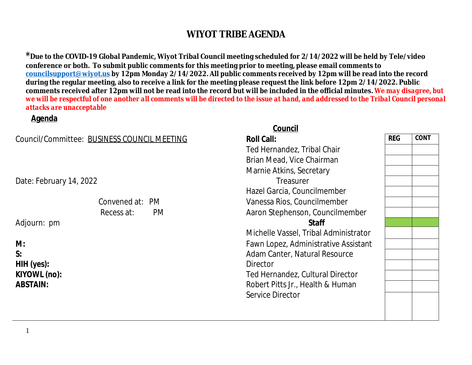<sup>\*</sup> Due to the COVID-19 Global Pandemic, Wiyot Tribal Council meeting scheduled for 2/14/2022 will be l conference or both. To submit public comments for this meeting prior to meeting, please email commen **councilsupport@wiyot.us by 12pm Monday 2/14/2022. All public comments received by 12pm will be reading** during the regular meeting, also to receive a link for the meeting please request the link before 12pm 2. comments received after 12pm will not be read into the record but will be included in the official minut *we will be respectful of one another all comments will be directed to the issue at hand, and addressed to the Tribal Council personal council personal council personal council personal council personal council personal de attacks are unacceptable*

#### **Agenda**

|                                             | Council                              |
|---------------------------------------------|--------------------------------------|
| Council/Committee: BUSINESS COUNCIL MEETING | <b>Roll Call:</b>                    |
|                                             | Ted Hernandez, Tribal Chair          |
|                                             | Brian Mead, Vice Chairman            |
|                                             | Marnie Atkins, Secretary             |
| Date: February 14, 2022                     | Treasurer                            |
|                                             | Hazel Garcia, Councilmember          |
| Convened at: PM                             | Vanessa Rios, Councilmember          |
| Recess at:<br>PM.                           | Aaron Stephenson, Councilmember      |
| Adjourn: pm                                 | <b>Staff</b>                         |
|                                             | Michelle Vassel, Tribal Administrate |
| M:                                          | Fawn Lopez, Administrative Assista   |
| S:                                          | Adam Canter, Natural Resource        |
| $HH$ (yes):                                 | Director                             |
| KIYOWL (no):                                | Ted Hernandez, Cultural Director     |
| <b>ABSTAIN:</b>                             | Robert Pitts Jr., Health & Human     |
|                                             | Service Director                     |
|                                             |                                      |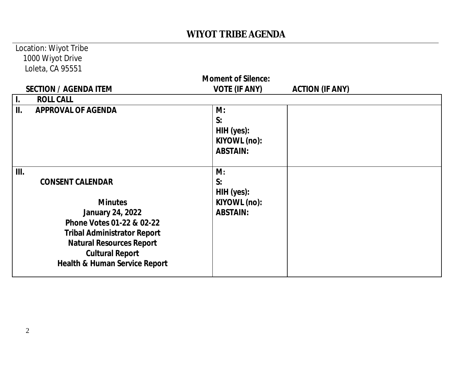#### Location: Wiyot Tribe 1000 Wiyot Drive Loleta, CA 95551

| <b>Moment of Silence:</b> |                                                                                                                                                                                                                                                  |                                                           |                        |
|---------------------------|--------------------------------------------------------------------------------------------------------------------------------------------------------------------------------------------------------------------------------------------------|-----------------------------------------------------------|------------------------|
|                           | <b>SECTION / AGENDA ITEM</b>                                                                                                                                                                                                                     | <b>VOTE (IF ANY)</b>                                      | <b>ACTION (IF ANY)</b> |
| L.                        | <b>ROLL CALL</b>                                                                                                                                                                                                                                 |                                                           |                        |
| II.                       | <b>APPROVAL OF AGENDA</b>                                                                                                                                                                                                                        | M:<br>S:<br>HIH (yes):<br>KIYOWL (no):<br><b>ABSTAIN:</b> |                        |
| III.                      | <b>CONSENT CALENDAR</b><br><b>Minutes</b><br><b>January 24, 2022</b><br>Phone Votes 01-22 & 02-22<br><b>Tribal Administrator Report</b><br><b>Natural Resources Report</b><br><b>Cultural Report</b><br><b>Health &amp; Human Service Report</b> | M:<br>S:<br>HIH (yes):<br>KIYOWL (no):<br><b>ABSTAIN:</b> |                        |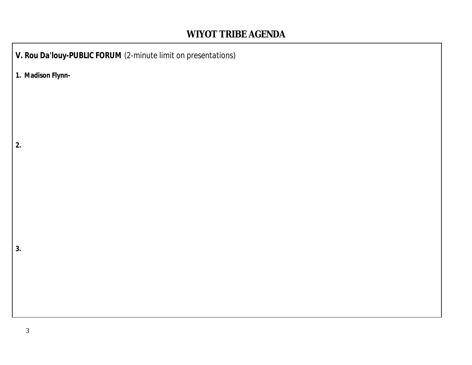*V. Rou Da'louy-PUBLIC FORUM (2-minute limit on presentations)* **1. Madison Flynn-2. 3.**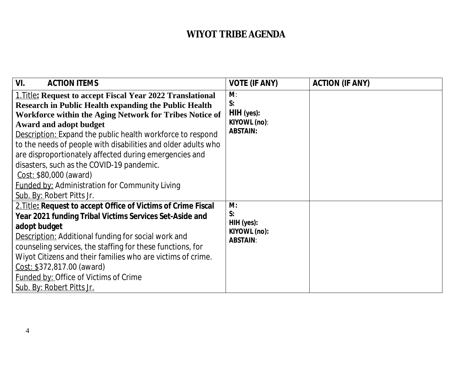| VI.<br><b>ACTION ITEMS</b>                                                                                                                                                                                                                                                                                                                                                                                                                                                                                                                                                          | <b>VOTE (IF ANY)</b>                                       | <b>ACTION (IF ANY)</b> |
|-------------------------------------------------------------------------------------------------------------------------------------------------------------------------------------------------------------------------------------------------------------------------------------------------------------------------------------------------------------------------------------------------------------------------------------------------------------------------------------------------------------------------------------------------------------------------------------|------------------------------------------------------------|------------------------|
| 1. Title: Request to accept Fiscal Year 2022 Translational<br><b>Research in Public Health expanding the Public Health</b><br>Workforce within the Aging Network for Tribes Notice of<br><b>Award and adopt budget</b><br><b>Description:</b> Expand the public health workforce to respond<br>to the needs of people with disabilities and older adults who<br>are disproportionately affected during emergencies and<br>disasters, such as the COVID-19 pandemic.<br>Cost: \$80,000 (award)<br><b>Funded by: Administration for Community Living</b><br>Sub. By: Robert Pitts Jr. | M:<br>S:<br>$HH$ (yes):<br>KIYOWL (no):<br><b>ABSTAIN:</b> |                        |
| 2. Title: Request to accept Office of Victims of Crime Fiscal<br>Year 2021 funding Tribal Victims Services Set-Aside and<br>adopt budget<br><b>Description:</b> Additional funding for social work and<br>counseling services, the staffing for these functions, for<br>Wiyot Citizens and their families who are victims of crime.<br>Cost: \$372,817.00 (award)<br><b>Funded by: Office of Victims of Crime</b><br>Sub. By: Robert Pitts Jr.                                                                                                                                      | M:<br>S:<br>HIH (yes):<br>KIYOWL (no):<br><b>ABSTAIN:</b>  |                        |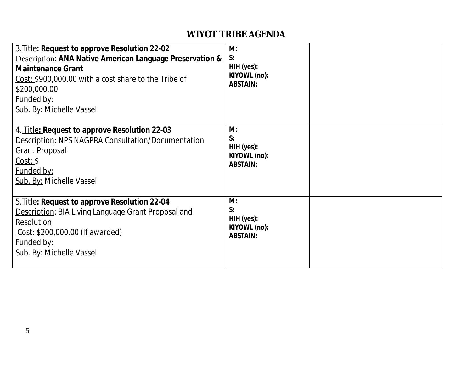| 3. Title: Request to approve Resolution 22-02<br><b>Description: ANA Native American Language Preservation &amp;</b><br><b>Maintenance Grant</b><br>Cost: \$900,000.00 with a cost share to the Tribe of<br>\$200,000.00<br>Funded by:<br>Sub. By: Michelle Vassel | M:<br>S:<br>HIH (yes):<br>KIYOWL (no):<br><b>ABSTAIN:</b> |  |
|--------------------------------------------------------------------------------------------------------------------------------------------------------------------------------------------------------------------------------------------------------------------|-----------------------------------------------------------|--|
| 4. Title: Request to approve Resolution 22-03<br><b>Description: NPS NAGPRA Consultation/Documentation</b><br><b>Grant Proposal</b><br>Cost: \$<br><b>Funded by:</b><br>Sub. By: Michelle Vassel                                                                   | M:<br>S:<br>HIH (yes):<br>KIYOWL (no):<br><b>ABSTAIN:</b> |  |
| 5. Title: Request to approve Resolution 22-04<br>Description: BIA Living Language Grant Proposal and<br><b>Resolution</b><br>$Cost: $200,000.00$ (If awarded)<br><b>Funded by:</b><br><b>Sub. By: Michelle Vassel</b>                                              | M:<br>S:<br>HIH (yes):<br>KIYOWL (no):<br><b>ABSTAIN:</b> |  |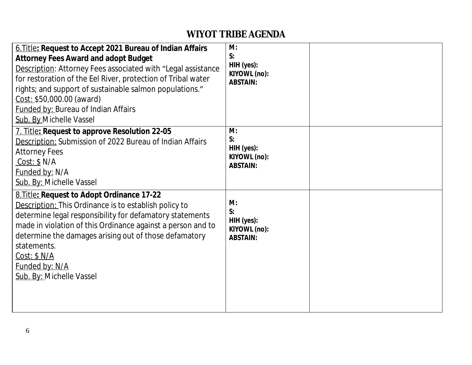| 6. Title: Request to Accept 2021 Bureau of Indian Affairs<br><b>Attorney Fees Award and adopt Budget</b><br>Description: Attorney Fees associated with "Legal assistance<br>for restoration of the Eel River, protection of Tribal water<br>rights; and support of sustainable salmon populations."<br>Cost: \$50,000.00 (award)<br><b>Funded by: Bureau of Indian Affairs</b><br>Sub. By Michelle Vassel | M:<br>S:<br>HIH (yes):<br>KIYOWL (no):<br><b>ABSTAIN:</b> |  |
|-----------------------------------------------------------------------------------------------------------------------------------------------------------------------------------------------------------------------------------------------------------------------------------------------------------------------------------------------------------------------------------------------------------|-----------------------------------------------------------|--|
| 7. Title: Request to approve Resolution 22-05<br>Description: Submission of 2022 Bureau of Indian Affairs<br><b>Attorney Fees</b><br>Cost: \$ N/A \$<br>Funded by: N/A<br>Sub. By: Michelle Vassel                                                                                                                                                                                                        | M:<br>S:<br>HIH (yes):<br>KIYOWL (no):<br><b>ABSTAIN:</b> |  |
| 8. Title: Request to Adopt Ordinance 17-22<br>Description: This Ordinance is to establish policy to<br>determine legal responsibility for defamatory statements<br>made in violation of this Ordinance against a person and to<br>determine the damages arising out of those defamatory<br>statements.<br>Cost: \$ N/A<br>Funded by: N/A<br>Sub. By: Michelle Vassel                                      | M:<br>S:<br>HIH (yes):<br>KIYOWL (no):<br><b>ABSTAIN:</b> |  |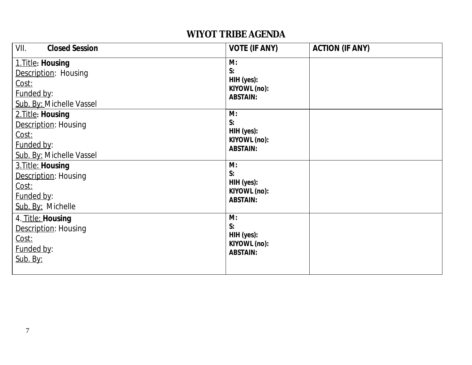| VII.<br><b>Closed Session</b>                                                                | <b>VOTE (IF ANY)</b>                                      | <b>ACTION (IF ANY)</b> |
|----------------------------------------------------------------------------------------------|-----------------------------------------------------------|------------------------|
| 1. Title: Housing<br>Description: Housing<br>Cost:<br>Funded by:<br>Sub. By: Michelle Vassel | M:<br>S:<br>HIH (yes):<br>KIYOWL (no):<br><b>ABSTAIN:</b> |                        |
| 2. Title: Housing<br>Description: Housing<br>Cost:<br>Funded by:<br>Sub. By: Michelle Vassel | M:<br>S:<br>HIH (yes):<br>KIYOWL (no):<br><b>ABSTAIN:</b> |                        |
| 3. Title: Housing<br>Description: Housing<br>Cost:<br>Funded by:<br>Sub. By: Michelle        | M:<br>S:<br>HIH (yes):<br>KIYOWL (no):<br><b>ABSTAIN:</b> |                        |
| 4. Title: Housing<br>Description: Housing<br>Cost:<br>Funded by:<br>Sub. By:                 | M:<br>S:<br>HIH (yes):<br>KIYOWL (no):<br><b>ABSTAIN:</b> |                        |